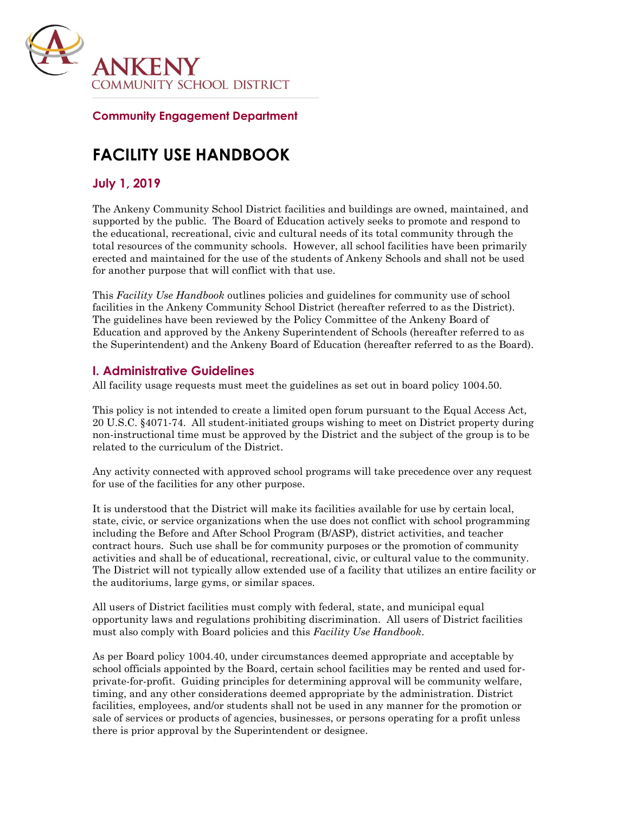

### **Community Engagement Department**

# **FACILITY USE HANDBOOK**

# **July 1, 2019**

The Ankeny Community School District facilities and buildings are owned, maintained, and supported by the public. The Board of Education actively seeks to promote and respond to the educational, recreational, civic and cultural needs of its total community through the total resources of the community schools. However, all school facilities have been primarily erected and maintained for the use of the students of Ankeny Schools and shall not be used for another purpose that will conflict with that use.

This *Facility Use Handbook* outlines policies and guidelines for community use of school facilities in the Ankeny Community School District (hereafter referred to as the District). The guidelines have been reviewed by the Policy Committee of the Ankeny Board of Education and approved by the Ankeny Superintendent of Schools (hereafter referred to as the Superintendent) and the Ankeny Board of Education (hereafter referred to as the Board).

# **I. Administrative Guidelines**

All facility usage requests must meet the guidelines as set out in board policy 1004.50.

This policy is not intended to create a limited open forum pursuant to the Equal Access Act, 20 U.S.C. §4071-74. All student-initiated groups wishing to meet on District property during non-instructional time must be approved by the District and the subject of the group is to be related to the curriculum of the District.

Any activity connected with approved school programs will take precedence over any request for use of the facilities for any other purpose.

It is understood that the District will make its facilities available for use by certain local, state, civic, or service organizations when the use does not conflict with school programming including the Before and After School Program (B/ASP), district activities, and teacher contract hours. Such use shall be for community purposes or the promotion of community activities and shall be of educational, recreational, civic, or cultural value to the community. The District will not typically allow extended use of a facility that utilizes an entire facility or the auditoriums, large gyms, or similar spaces.

All users of District facilities must comply with federal, state, and municipal equal opportunity laws and regulations prohibiting discrimination. All users of District facilities must also comply with Board policies and this *Facility Use Handbook*.

As per Board policy 1004.40, under circumstances deemed appropriate and acceptable by school officials appointed by the Board, certain school facilities may be rented and used forprivate-for-profit. Guiding principles for determining approval will be community welfare, timing, and any other considerations deemed appropriate by the administration. District facilities, employees, and/or students shall not be used in any manner for the promotion or sale of services or products of agencies, businesses, or persons operating for a profit unless there is prior approval by the Superintendent or designee.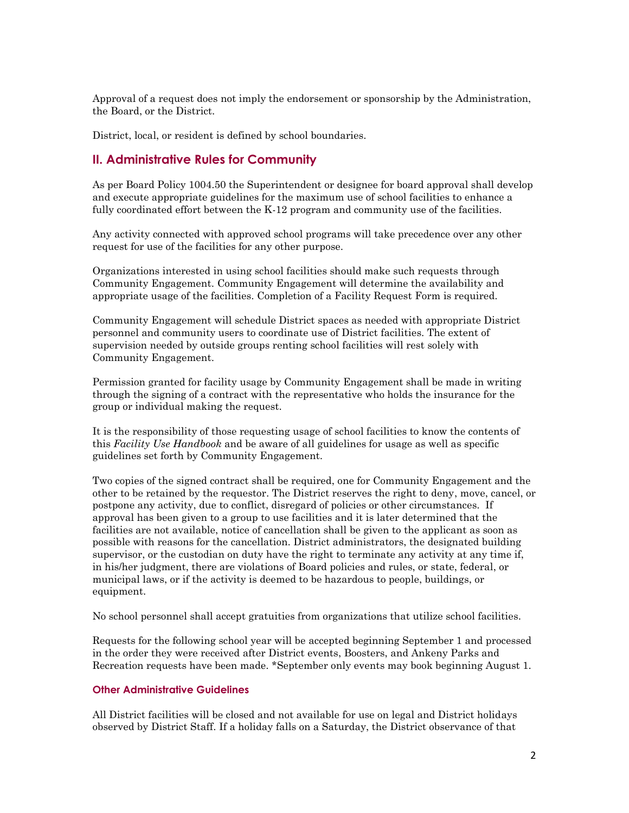Approval of a request does not imply the endorsement or sponsorship by the Administration, the Board, or the District.

District, local, or resident is defined by school boundaries.

# **II. Administrative Rules for Community**

As per Board Policy 1004.50 the Superintendent or designee for board approval shall develop and execute appropriate guidelines for the maximum use of school facilities to enhance a fully coordinated effort between the K-12 program and community use of the facilities.

Any activity connected with approved school programs will take precedence over any other request for use of the facilities for any other purpose.

Organizations interested in using school facilities should make such requests through Community Engagement. Community Engagement will determine the availability and appropriate usage of the facilities. Completion of a Facility Request Form is required.

Community Engagement will schedule District spaces as needed with appropriate District personnel and community users to coordinate use of District facilities. The extent of supervision needed by outside groups renting school facilities will rest solely with Community Engagement.

Permission granted for facility usage by Community Engagement shall be made in writing through the signing of a contract with the representative who holds the insurance for the group or individual making the request.

It is the responsibility of those requesting usage of school facilities to know the contents of this *Facility Use Handbook* and be aware of all guidelines for usage as well as specific guidelines set forth by Community Engagement.

Two copies of the signed contract shall be required, one for Community Engagement and the other to be retained by the requestor. The District reserves the right to deny, move, cancel, or postpone any activity, due to conflict, disregard of policies or other circumstances. If approval has been given to a group to use facilities and it is later determined that the facilities are not available, notice of cancellation shall be given to the applicant as soon as possible with reasons for the cancellation. District administrators, the designated building supervisor, or the custodian on duty have the right to terminate any activity at any time if, in his/her judgment, there are violations of Board policies and rules, or state, federal, or municipal laws, or if the activity is deemed to be hazardous to people, buildings, or equipment.

No school personnel shall accept gratuities from organizations that utilize school facilities.

Requests for the following school year will be accepted beginning September 1 and processed in the order they were received after District events, Boosters, and Ankeny Parks and Recreation requests have been made. \*September only events may book beginning August 1.

### **Other Administrative Guidelines**

All District facilities will be closed and not available for use on legal and District holidays observed by District Staff. If a holiday falls on a Saturday, the District observance of that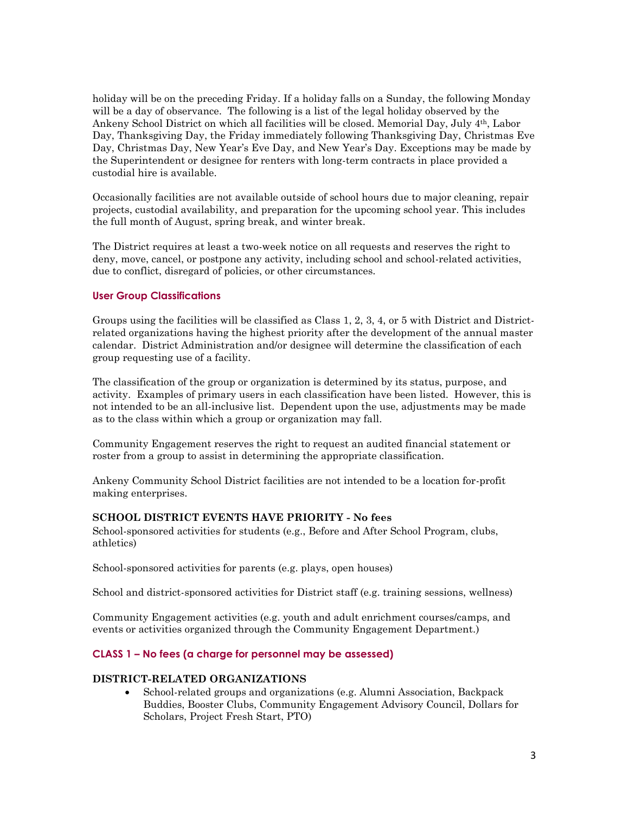holiday will be on the preceding Friday. If a holiday falls on a Sunday, the following Monday will be a day of observance. The following is a list of the legal holiday observed by the Ankeny School District on which all facilities will be closed. Memorial Day, July 4th, Labor Day, Thanksgiving Day, the Friday immediately following Thanksgiving Day, Christmas Eve Day, Christmas Day, New Year's Eve Day, and New Year's Day. Exceptions may be made by the Superintendent or designee for renters with long-term contracts in place provided a custodial hire is available.

Occasionally facilities are not available outside of school hours due to major cleaning, repair projects, custodial availability, and preparation for the upcoming school year. This includes the full month of August, spring break, and winter break.

The District requires at least a two-week notice on all requests and reserves the right to deny, move, cancel, or postpone any activity, including school and school-related activities, due to conflict, disregard of policies, or other circumstances.

### **User Group Classifications**

Groups using the facilities will be classified as Class 1, 2, 3, 4, or 5 with District and Districtrelated organizations having the highest priority after the development of the annual master calendar. District Administration and/or designee will determine the classification of each group requesting use of a facility.

The classification of the group or organization is determined by its status, purpose, and activity. Examples of primary users in each classification have been listed. However, this is not intended to be an all-inclusive list. Dependent upon the use, adjustments may be made as to the class within which a group or organization may fall.

Community Engagement reserves the right to request an audited financial statement or roster from a group to assist in determining the appropriate classification.

Ankeny Community School District facilities are not intended to be a location for-profit making enterprises.

### **SCHOOL DISTRICT EVENTS HAVE PRIORITY - No fees**

School-sponsored activities for students (e.g., Before and After School Program, clubs, athletics)

School-sponsored activities for parents (e.g. plays, open houses)

School and district-sponsored activities for District staff (e.g. training sessions, wellness)

Community Engagement activities (e.g. youth and adult enrichment courses/camps, and events or activities organized through the Community Engagement Department.)

### **CLASS 1 – No fees (a charge for personnel may be assessed)**

### **DISTRICT-RELATED ORGANIZATIONS**

 School-related groups and organizations (e.g. Alumni Association, Backpack Buddies, Booster Clubs, Community Engagement Advisory Council, Dollars for Scholars, Project Fresh Start, PTO)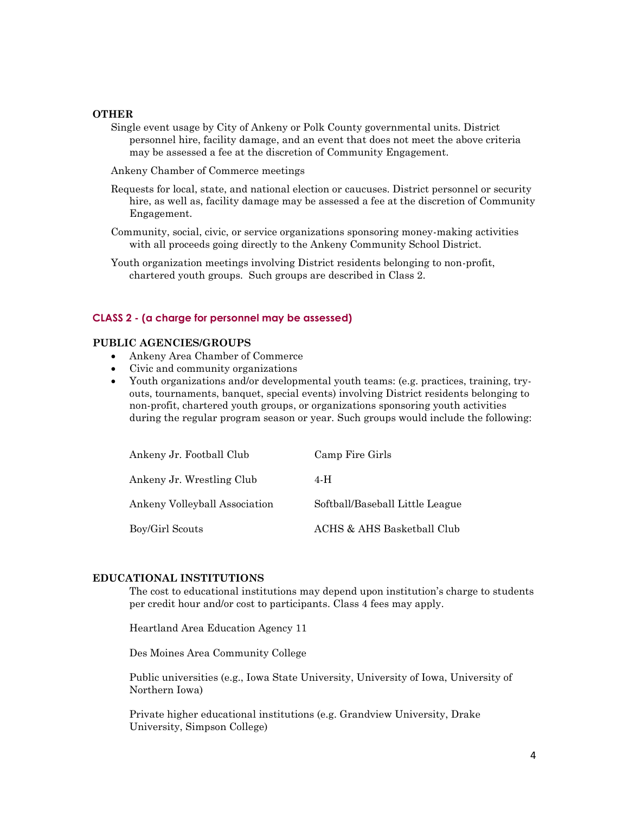### **OTHER**

- Single event usage by City of Ankeny or Polk County governmental units. District personnel hire, facility damage, and an event that does not meet the above criteria may be assessed a fee at the discretion of Community Engagement.
- Ankeny Chamber of Commerce meetings
- Requests for local, state, and national election or caucuses. District personnel or security hire, as well as, facility damage may be assessed a fee at the discretion of Community Engagement.
- Community, social, civic, or service organizations sponsoring money-making activities with all proceeds going directly to the Ankeny Community School District.
- Youth organization meetings involving District residents belonging to non-profit, chartered youth groups. Such groups are described in Class 2.

### **CLASS 2 - (a charge for personnel may be assessed)**

#### **PUBLIC AGENCIES/GROUPS**

- Ankeny Area Chamber of Commerce
- Civic and community organizations
- Youth organizations and/or developmental youth teams: (e.g. practices, training, tryouts, tournaments, banquet, special events) involving District residents belonging to non-profit, chartered youth groups, or organizations sponsoring youth activities during the regular program season or year. Such groups would include the following:

| Ankeny Jr. Football Club      | Camp Fire Girls                 |
|-------------------------------|---------------------------------|
| Ankeny Jr. Wrestling Club     | 4-H                             |
| Ankeny Volleyball Association | Softball/Baseball Little League |
| Boy/Girl Scouts               | ACHS & AHS Basketball Club      |

### **EDUCATIONAL INSTITUTIONS**

The cost to educational institutions may depend upon institution's charge to students per credit hour and/or cost to participants. Class 4 fees may apply.

Heartland Area Education Agency 11

Des Moines Area Community College

Public universities (e.g., Iowa State University, University of Iowa, University of Northern Iowa)

Private higher educational institutions (e.g. Grandview University, Drake University, Simpson College)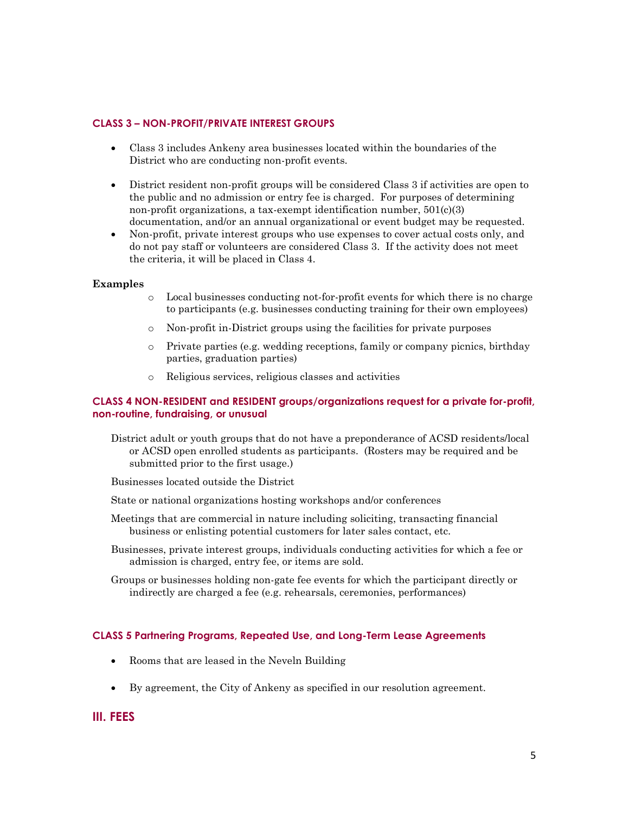### **CLASS 3 – NON-PROFIT/PRIVATE INTEREST GROUPS**

- Class 3 includes Ankeny area businesses located within the boundaries of the District who are conducting non-profit events.
- District resident non-profit groups will be considered Class 3 if activities are open to the public and no admission or entry fee is charged. For purposes of determining non-profit organizations, a tax-exempt identification number, 501(c)(3) documentation, and/or an annual organizational or event budget may be requested.
- Non-profit, private interest groups who use expenses to cover actual costs only, and do not pay staff or volunteers are considered Class 3. If the activity does not meet the criteria, it will be placed in Class 4.

### **Examples**

- o Local businesses conducting not-for-profit events for which there is no charge to participants (e.g. businesses conducting training for their own employees)
- o Non-profit in-District groups using the facilities for private purposes
- o Private parties (e.g. wedding receptions, family or company picnics, birthday parties, graduation parties)
- o Religious services, religious classes and activities

### **CLASS 4 NON-RESIDENT and RESIDENT groups/organizations request for a private for-profit, non-routine, fundraising, or unusual**

District adult or youth groups that do not have a preponderance of ACSD residents/local or ACSD open enrolled students as participants. (Rosters may be required and be submitted prior to the first usage.)

Businesses located outside the District

- State or national organizations hosting workshops and/or conferences
- Meetings that are commercial in nature including soliciting, transacting financial business or enlisting potential customers for later sales contact, etc.
- Businesses, private interest groups, individuals conducting activities for which a fee or admission is charged, entry fee, or items are sold.
- Groups or businesses holding non-gate fee events for which the participant directly or indirectly are charged a fee (e.g. rehearsals, ceremonies, performances)

### **CLASS 5 Partnering Programs, Repeated Use, and Long-Term Lease Agreements**

- Rooms that are leased in the Neveln Building
- By agreement, the City of Ankeny as specified in our resolution agreement.

### **III. FEES**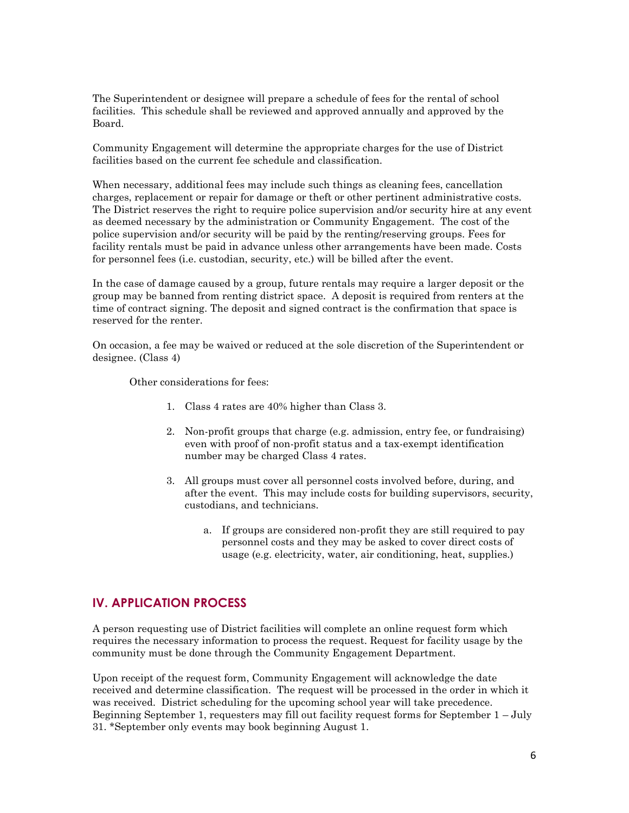The Superintendent or designee will prepare a schedule of fees for the rental of school facilities. This schedule shall be reviewed and approved annually and approved by the Board.

Community Engagement will determine the appropriate charges for the use of District facilities based on the current fee schedule and classification.

When necessary, additional fees may include such things as cleaning fees, cancellation charges, replacement or repair for damage or theft or other pertinent administrative costs. The District reserves the right to require police supervision and/or security hire at any event as deemed necessary by the administration or Community Engagement. The cost of the police supervision and/or security will be paid by the renting/reserving groups. Fees for facility rentals must be paid in advance unless other arrangements have been made. Costs for personnel fees (i.e. custodian, security, etc.) will be billed after the event.

In the case of damage caused by a group, future rentals may require a larger deposit or the group may be banned from renting district space. A deposit is required from renters at the time of contract signing. The deposit and signed contract is the confirmation that space is reserved for the renter.

On occasion, a fee may be waived or reduced at the sole discretion of the Superintendent or designee. (Class 4)

Other considerations for fees:

- 1. Class 4 rates are 40% higher than Class 3.
- 2. Non-profit groups that charge (e.g. admission, entry fee, or fundraising) even with proof of non-profit status and a tax-exempt identification number may be charged Class 4 rates.
- 3. All groups must cover all personnel costs involved before, during, and after the event. This may include costs for building supervisors, security, custodians, and technicians.
	- a. If groups are considered non-profit they are still required to pay personnel costs and they may be asked to cover direct costs of usage (e.g. electricity, water, air conditioning, heat, supplies.)

### **IV. APPLICATION PROCESS**

A person requesting use of District facilities will complete an online request form which requires the necessary information to process the request. Request for facility usage by the community must be done through the Community Engagement Department.

Upon receipt of the request form, Community Engagement will acknowledge the date received and determine classification. The request will be processed in the order in which it was received. District scheduling for the upcoming school year will take precedence. Beginning September 1, requesters may fill out facility request forms for September 1 – July 31. \*September only events may book beginning August 1.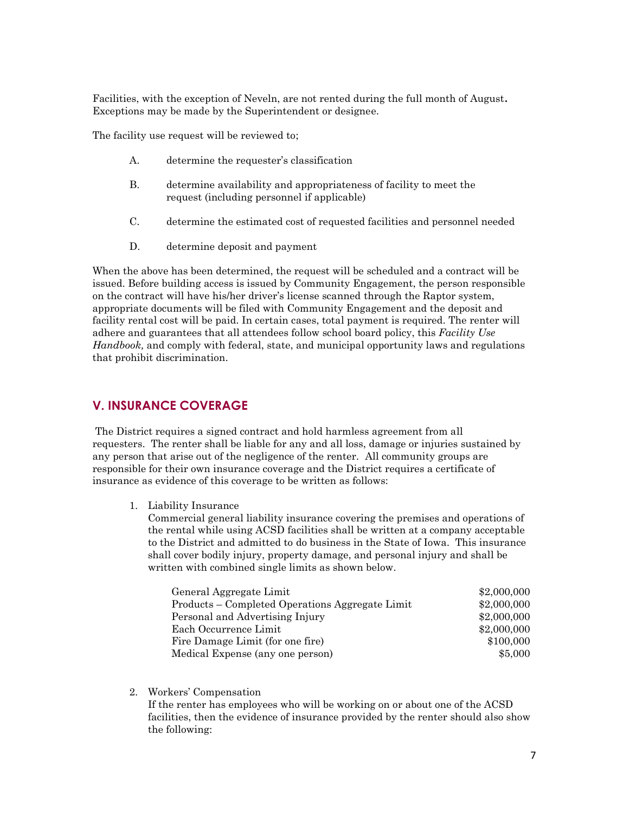Facilities, with the exception of Neveln, are not rented during the full month of August**.**  Exceptions may be made by the Superintendent or designee.

The facility use request will be reviewed to;

- A. determine the requester's classification
- B. determine availability and appropriateness of facility to meet the request (including personnel if applicable)
- C. determine the estimated cost of requested facilities and personnel needed
- D. determine deposit and payment

When the above has been determined, the request will be scheduled and a contract will be issued. Before building access is issued by Community Engagement, the person responsible on the contract will have his/her driver's license scanned through the Raptor system, appropriate documents will be filed with Community Engagement and the deposit and facility rental cost will be paid. In certain cases, total payment is required. The renter will adhere and guarantees that all attendees follow school board policy, this *Facility Use Handbook,* and comply with federal, state, and municipal opportunity laws and regulations that prohibit discrimination.

# **V. INSURANCE COVERAGE**

The District requires a signed contract and hold harmless agreement from all requesters. The renter shall be liable for any and all loss, damage or injuries sustained by any person that arise out of the negligence of the renter. All community groups are responsible for their own insurance coverage and the District requires a certificate of insurance as evidence of this coverage to be written as follows:

1. Liability Insurance

Commercial general liability insurance covering the premises and operations of the rental while using ACSD facilities shall be written at a company acceptable to the District and admitted to do business in the State of Iowa. This insurance shall cover bodily injury, property damage, and personal injury and shall be written with combined single limits as shown below.

| General Aggregate Limit                         | \$2,000,000 |
|-------------------------------------------------|-------------|
| Products – Completed Operations Aggregate Limit | \$2,000,000 |
| Personal and Advertising Injury                 | \$2,000,000 |
| Each Occurrence Limit                           | \$2,000,000 |
| Fire Damage Limit (for one fire)                | \$100,000   |
| Medical Expense (any one person)                | \$5,000     |

2. Workers' Compensation

If the renter has employees who will be working on or about one of the ACSD facilities, then the evidence of insurance provided by the renter should also show the following: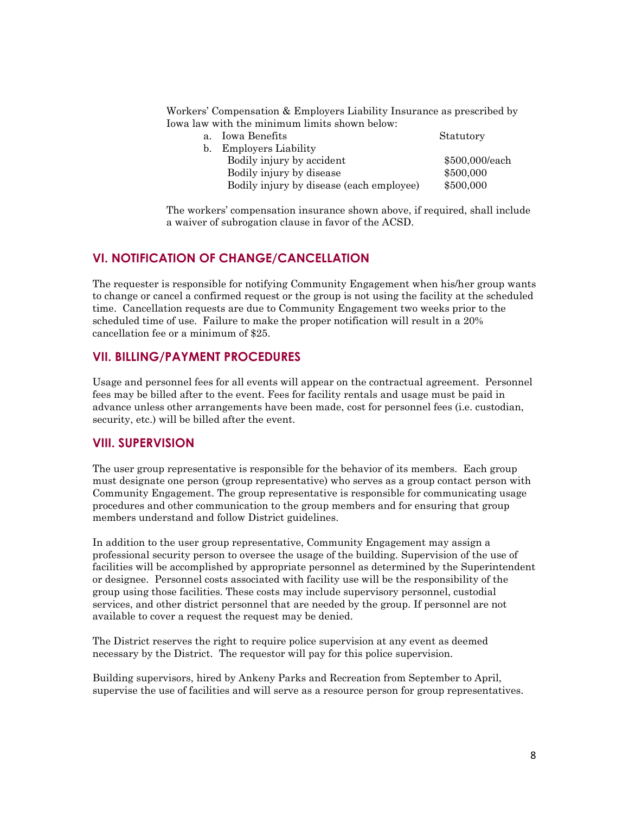Workers' Compensation & Employers Liability Insurance as prescribed by Iowa law with the minimum limits shown below:

| $a_{\cdot}$ | Iowa Benefits                            | Statutory      |
|-------------|------------------------------------------|----------------|
| $h_{-}$     | <b>Employers Liability</b>               |                |
|             | Bodily injury by accident                | \$500,000/each |
|             | Bodily injury by disease                 | \$500,000      |
|             | Bodily injury by disease (each employee) | \$500,000      |

The workers' compensation insurance shown above, if required, shall include a waiver of subrogation clause in favor of the ACSD.

# **VI. NOTIFICATION OF CHANGE/CANCELLATION**

The requester is responsible for notifying Community Engagement when his/her group wants to change or cancel a confirmed request or the group is not using the facility at the scheduled time. Cancellation requests are due to Community Engagement two weeks prior to the scheduled time of use. Failure to make the proper notification will result in a 20% cancellation fee or a minimum of \$25.

# **VII. BILLING/PAYMENT PROCEDURES**

Usage and personnel fees for all events will appear on the contractual agreement. Personnel fees may be billed after to the event. Fees for facility rentals and usage must be paid in advance unless other arrangements have been made, cost for personnel fees (i.e. custodian, security, etc.) will be billed after the event.

### **VIII. SUPERVISION**

The user group representative is responsible for the behavior of its members. Each group must designate one person (group representative) who serves as a group contact person with Community Engagement. The group representative is responsible for communicating usage procedures and other communication to the group members and for ensuring that group members understand and follow District guidelines.

In addition to the user group representative, Community Engagement may assign a professional security person to oversee the usage of the building. Supervision of the use of facilities will be accomplished by appropriate personnel as determined by the Superintendent or designee. Personnel costs associated with facility use will be the responsibility of the group using those facilities. These costs may include supervisory personnel, custodial services, and other district personnel that are needed by the group. If personnel are not available to cover a request the request may be denied.

The District reserves the right to require police supervision at any event as deemed necessary by the District. The requestor will pay for this police supervision.

Building supervisors, hired by Ankeny Parks and Recreation from September to April, supervise the use of facilities and will serve as a resource person for group representatives.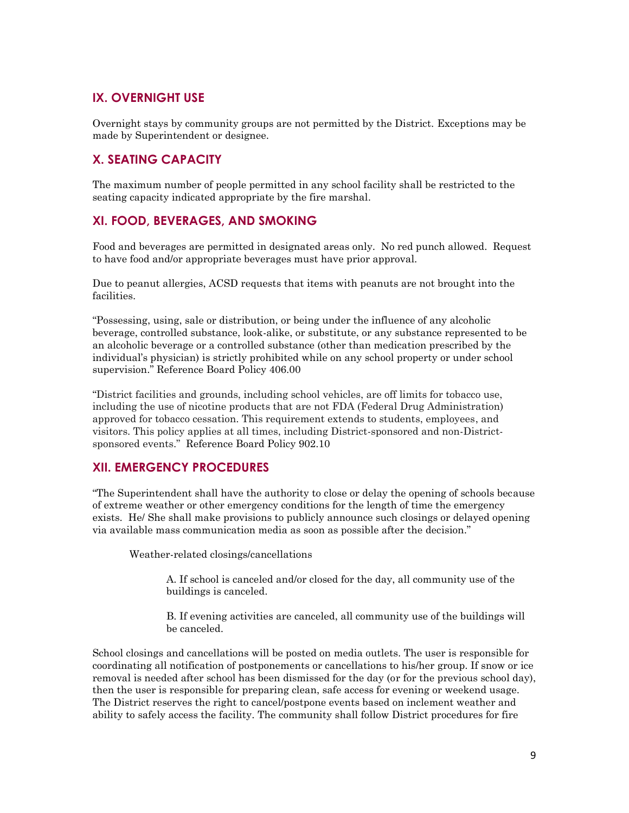# **IX. OVERNIGHT USE**

Overnight stays by community groups are not permitted by the District. Exceptions may be made by Superintendent or designee.

# **X. SEATING CAPACITY**

The maximum number of people permitted in any school facility shall be restricted to the seating capacity indicated appropriate by the fire marshal.

# **XI. FOOD, BEVERAGES, AND SMOKING**

Food and beverages are permitted in designated areas only. No red punch allowed. Request to have food and/or appropriate beverages must have prior approval.

Due to peanut allergies, ACSD requests that items with peanuts are not brought into the facilities.

"Possessing, using, sale or distribution, or being under the influence of any alcoholic beverage, controlled substance, look-alike, or substitute, or any substance represented to be an alcoholic beverage or a controlled substance (other than medication prescribed by the individual's physician) is strictly prohibited while on any school property or under school supervision." Reference Board Policy 406.00

"District facilities and grounds, including school vehicles, are off limits for tobacco use, including the use of nicotine products that are not FDA (Federal Drug Administration) approved for tobacco cessation. This requirement extends to students, employees, and visitors. This policy applies at all times, including District-sponsored and non-Districtsponsored events." Reference Board Policy 902.10

# **XII. EMERGENCY PROCEDURES**

"The Superintendent shall have the authority to close or delay the opening of schools because of extreme weather or other emergency conditions for the length of time the emergency exists. He/ She shall make provisions to publicly announce such closings or delayed opening via available mass communication media as soon as possible after the decision."

Weather-related closings/cancellations

A. If school is canceled and/or closed for the day, all community use of the buildings is canceled.

B. If evening activities are canceled, all community use of the buildings will be canceled.

School closings and cancellations will be posted on media outlets. The user is responsible for coordinating all notification of postponements or cancellations to his/her group. If snow or ice removal is needed after school has been dismissed for the day (or for the previous school day), then the user is responsible for preparing clean, safe access for evening or weekend usage. The District reserves the right to cancel/postpone events based on inclement weather and ability to safely access the facility. The community shall follow District procedures for fire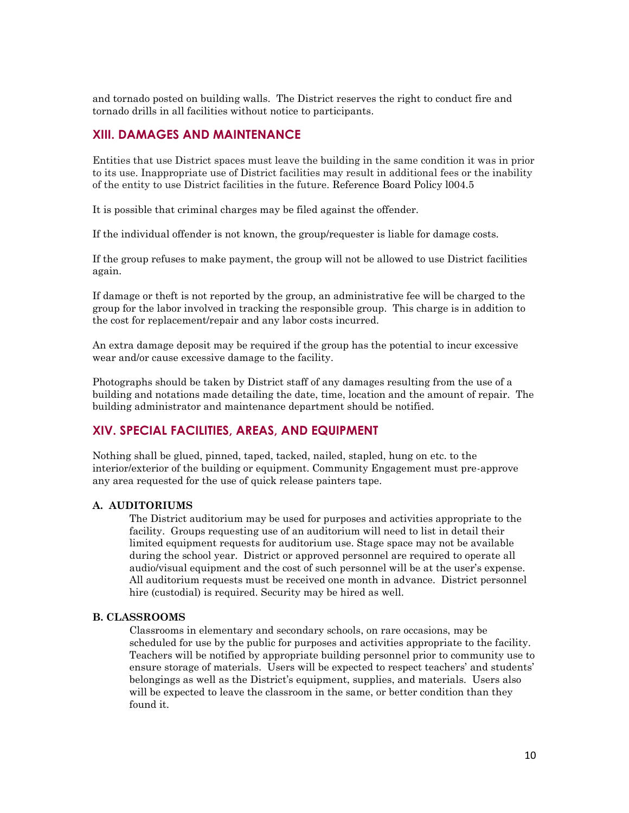and tornado posted on building walls. The District reserves the right to conduct fire and tornado drills in all facilities without notice to participants.

### **XIII. DAMAGES AND MAINTENANCE**

Entities that use District spaces must leave the building in the same condition it was in prior to its use. Inappropriate use of District facilities may result in additional fees or the inability of the entity to use District facilities in the future. Reference Board Policy l004.5

It is possible that criminal charges may be filed against the offender.

If the individual offender is not known, the group/requester is liable for damage costs.

If the group refuses to make payment, the group will not be allowed to use District facilities again.

If damage or theft is not reported by the group, an administrative fee will be charged to the group for the labor involved in tracking the responsible group. This charge is in addition to the cost for replacement/repair and any labor costs incurred.

An extra damage deposit may be required if the group has the potential to incur excessive wear and/or cause excessive damage to the facility.

Photographs should be taken by District staff of any damages resulting from the use of a building and notations made detailing the date, time, location and the amount of repair. The building administrator and maintenance department should be notified.

### **XIV. SPECIAL FACILITIES, AREAS, AND EQUIPMENT**

Nothing shall be glued, pinned, taped, tacked, nailed, stapled, hung on etc. to the interior/exterior of the building or equipment. Community Engagement must pre-approve any area requested for the use of quick release painters tape.

### **A. AUDITORIUMS**

The District auditorium may be used for purposes and activities appropriate to the facility. Groups requesting use of an auditorium will need to list in detail their limited equipment requests for auditorium use. Stage space may not be available during the school year. District or approved personnel are required to operate all audio/visual equipment and the cost of such personnel will be at the user's expense. All auditorium requests must be received one month in advance. District personnel hire (custodial) is required. Security may be hired as well.

#### **B. CLASSROOMS**

Classrooms in elementary and secondary schools, on rare occasions, may be scheduled for use by the public for purposes and activities appropriate to the facility. Teachers will be notified by appropriate building personnel prior to community use to ensure storage of materials. Users will be expected to respect teachers' and students' belongings as well as the District's equipment, supplies, and materials. Users also will be expected to leave the classroom in the same, or better condition than they found it.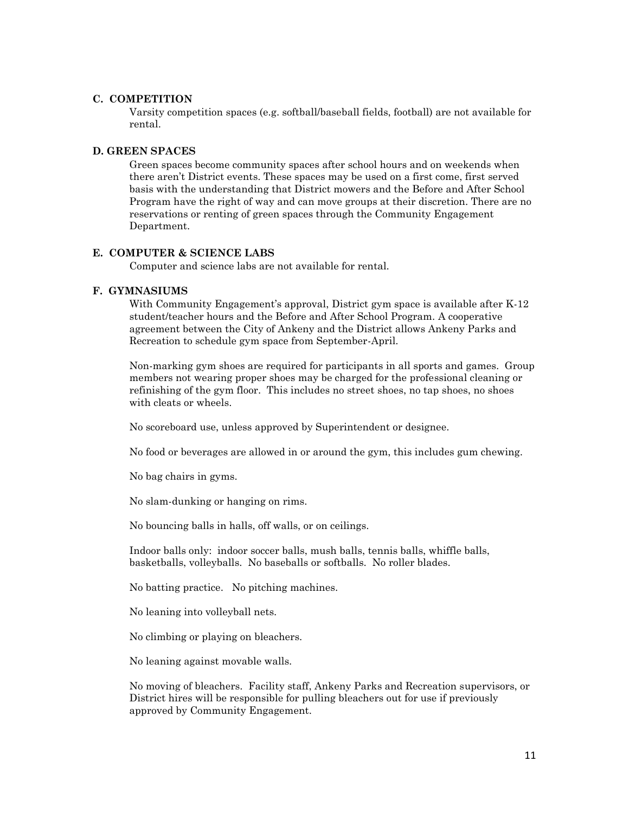### **C. COMPETITION**

Varsity competition spaces (e.g. softball/baseball fields, football) are not available for rental.

### **D. GREEN SPACES**

Green spaces become community spaces after school hours and on weekends when there aren't District events. These spaces may be used on a first come, first served basis with the understanding that District mowers and the Before and After School Program have the right of way and can move groups at their discretion. There are no reservations or renting of green spaces through the Community Engagement Department.

### **E. COMPUTER & SCIENCE LABS**

Computer and science labs are not available for rental.

### **F. GYMNASIUMS**

With Community Engagement's approval, District gym space is available after K-12 student/teacher hours and the Before and After School Program. A cooperative agreement between the City of Ankeny and the District allows Ankeny Parks and Recreation to schedule gym space from September-April.

Non-marking gym shoes are required for participants in all sports and games. Group members not wearing proper shoes may be charged for the professional cleaning or refinishing of the gym floor. This includes no street shoes, no tap shoes, no shoes with cleats or wheels.

No scoreboard use, unless approved by Superintendent or designee.

No food or beverages are allowed in or around the gym, this includes gum chewing.

No bag chairs in gyms.

No slam-dunking or hanging on rims.

No bouncing balls in halls, off walls, or on ceilings.

Indoor balls only: indoor soccer balls, mush balls, tennis balls, whiffle balls, basketballs, volleyballs. No baseballs or softballs. No roller blades.

No batting practice. No pitching machines.

No leaning into volleyball nets.

No climbing or playing on bleachers.

No leaning against movable walls.

No moving of bleachers. Facility staff, Ankeny Parks and Recreation supervisors, or District hires will be responsible for pulling bleachers out for use if previously approved by Community Engagement.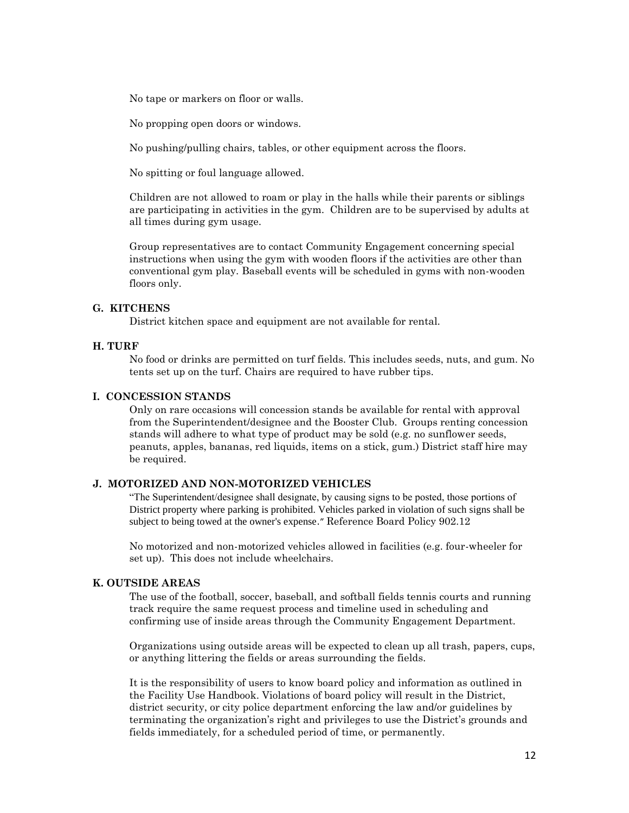No tape or markers on floor or walls.

No propping open doors or windows.

No pushing/pulling chairs, tables, or other equipment across the floors.

No spitting or foul language allowed.

Children are not allowed to roam or play in the halls while their parents or siblings are participating in activities in the gym. Children are to be supervised by adults at all times during gym usage.

Group representatives are to contact Community Engagement concerning special instructions when using the gym with wooden floors if the activities are other than conventional gym play. Baseball events will be scheduled in gyms with non-wooden floors only.

### **G. KITCHENS**

District kitchen space and equipment are not available for rental.

### **H. TURF**

No food or drinks are permitted on turf fields. This includes seeds, nuts, and gum. No tents set up on the turf. Chairs are required to have rubber tips.

### **I. CONCESSION STANDS**

Only on rare occasions will concession stands be available for rental with approval from the Superintendent/designee and the Booster Club. Groups renting concession stands will adhere to what type of product may be sold (e.g. no sunflower seeds, peanuts, apples, bananas, red liquids, items on a stick, gum.) District staff hire may be required.

### **J. MOTORIZED AND NON-MOTORIZED VEHICLES**

"The Superintendent/designee shall designate, by causing signs to be posted, those portions of District property where parking is prohibited. Vehicles parked in violation of such signs shall be subject to being towed at the owner's expense." Reference Board Policy 902.12

No motorized and non-motorized vehicles allowed in facilities (e.g. four-wheeler for set up). This does not include wheelchairs.

### **K. OUTSIDE AREAS**

The use of the football, soccer, baseball, and softball fields tennis courts and running track require the same request process and timeline used in scheduling and confirming use of inside areas through the Community Engagement Department.

Organizations using outside areas will be expected to clean up all trash, papers, cups, or anything littering the fields or areas surrounding the fields.

It is the responsibility of users to know board policy and information as outlined in the Facility Use Handbook. Violations of board policy will result in the District, district security, or city police department enforcing the law and/or guidelines by terminating the organization's right and privileges to use the District's grounds and fields immediately, for a scheduled period of time, or permanently.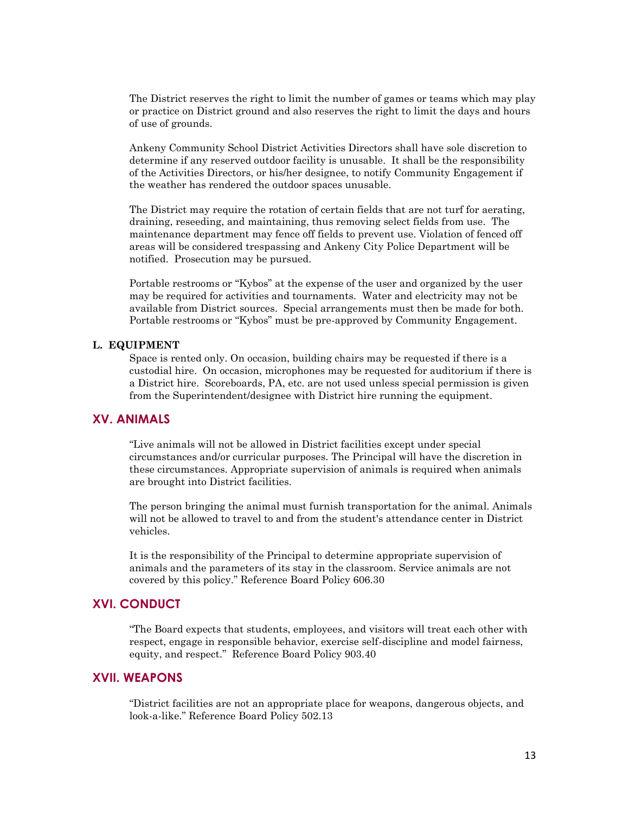The District reserves the right to limit the number of games or teams which may play or practice on District ground and also reserves the right to limit the days and hours of use of grounds.

Ankeny Community School District Activities Directors shall have sole discretion to determine if any reserved outdoor facility is unusable. It shall be the responsibility of the Activities Directors, or his/her designee, to notify Community Engagement if the weather has rendered the outdoor spaces unusable.

The District may require the rotation of certain fields that are not turf for aerating, draining, reseeding, and maintaining, thus removing select fields from use. The maintenance department may fence off fields to prevent use. Violation of fenced off areas will be considered trespassing and Ankeny City Police Department will be notified. Prosecution may be pursued.

Portable restrooms or "Kybos" at the expense of the user and organized by the user may be required for activities and tournaments. Water and electricity may not be available from District sources. Special arrangements must then be made for both. Portable restrooms or "Kybos" must be pre-approved by Community Engagement.

### **L. EQUIPMENT**

Space is rented only. On occasion, building chairs may be requested if there is a custodial hire. On occasion, microphones may be requested for auditorium if there is a District hire. Scoreboards, PA, etc. are not used unless special permission is given from the Superintendent/designee with District hire running the equipment.

### **XV. ANIMALS**

"Live animals will not be allowed in District facilities except under special circumstances and/or curricular purposes. The Principal will have the discretion in these circumstances. Appropriate supervision of animals is required when animals are brought into District facilities.

The person bringing the animal must furnish transportation for the animal. Animals will not be allowed to travel to and from the student's attendance center in District vehicles.

It is the responsibility of the Principal to determine appropriate supervision of animals and the parameters of its stay in the classroom. Service animals are not covered by this policy." Reference Board Policy 606.30

# **XVI. CONDUCT**

"The Board expects that students, employees, and visitors will treat each other with respect, engage in responsible behavior, exercise self-discipline and model fairness, equity, and respect." Reference Board Policy 903.40

### **XVII. WEAPONS**

"District facilities are not an appropriate place for weapons, dangerous objects, and look-a-like." Reference Board Policy 502.13